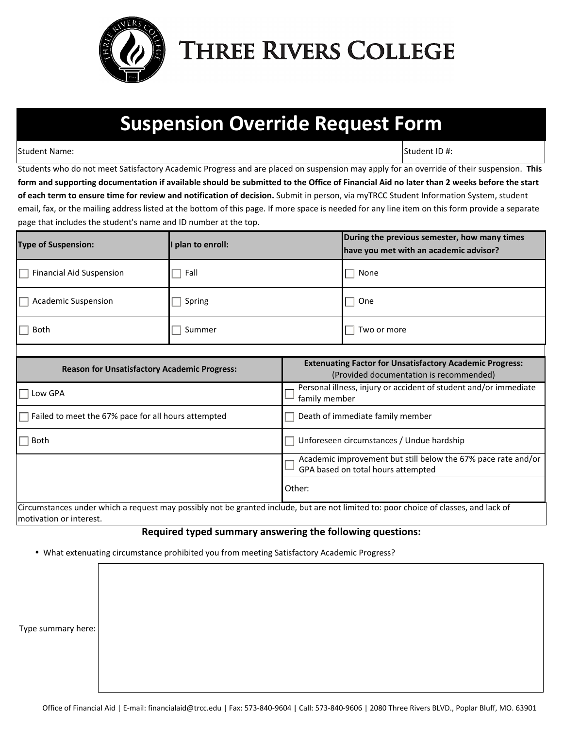

## **THREE RIVERS COLLEGE**

## **Suspension Override Request Form**

Student Name: Student ID #: Student ID #: Student ID #: Student ID #: Student ID #: Student ID #: Student ID #

Students who do not meet Satisfactory Academic Progress and are placed on suspension may apply for an override of their suspension. **This form and supporting documentation if available should be submitted to the Office of Financial Aid no later than 2 weeks before the start of each term to ensure time for review and notification of decision.** Submit in person, via myTRCC Student Information System, student email, fax, or the mailing address listed at the bottom of this page. If more space is needed for any line item on this form provide a separate page that includes the student's name and ID number at the top.

| <b>Type of Suspension:</b>      | I plan to enroll: | During the previous semester, how many times<br>have you met with an academic advisor? |
|---------------------------------|-------------------|----------------------------------------------------------------------------------------|
| <b>Financial Aid Suspension</b> | Fall              | None                                                                                   |
| <b>Academic Suspension</b>      | Spring            | One                                                                                    |
| Both                            | Summer            | Two or more                                                                            |

| <b>Reason for Unsatisfactory Academic Progress:</b>                                                                                 | <b>Extenuating Factor for Unsatisfactory Academic Progress:</b><br>(Provided documentation is recommended) |  |
|-------------------------------------------------------------------------------------------------------------------------------------|------------------------------------------------------------------------------------------------------------|--|
| Low GPA                                                                                                                             | Personal illness, injury or accident of student and/or immediate<br>family member                          |  |
| $\Box$ Failed to meet the 67% pace for all hours attempted                                                                          | Death of immediate family member                                                                           |  |
| Both                                                                                                                                | Unforeseen circumstances / Undue hardship                                                                  |  |
|                                                                                                                                     | Academic improvement but still below the 67% pace rate and/or<br>GPA based on total hours attempted        |  |
|                                                                                                                                     | Other:                                                                                                     |  |
| Circumstances under which a request may nossibly not be granted include but are not limited to; noor choice of classes, and lack of |                                                                                                            |  |

ed include, but are not limited to: motivation or interest.

## **Required typed summary answering the following questions:**

• What extenuating circumstance prohibited you from meeting Satisfactory Academic Progress?

Type summary here: